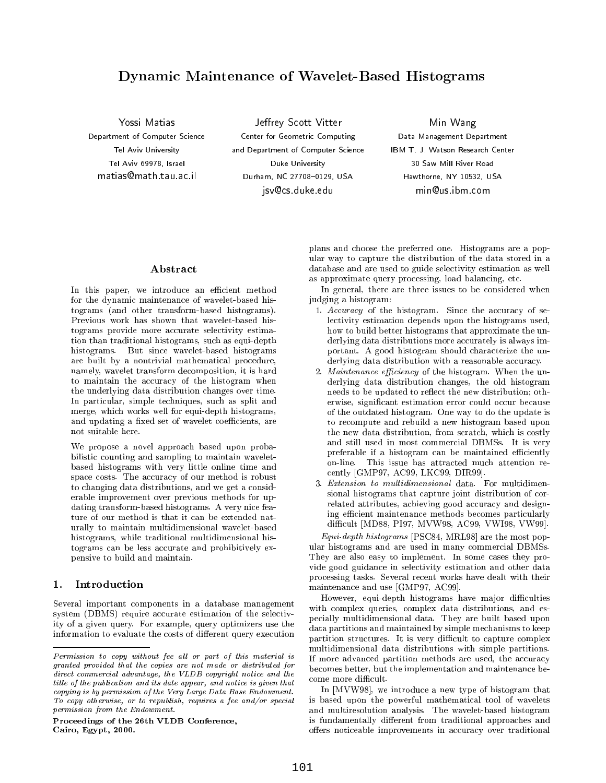# Dynamic Maintenance of Wavelet-Based Histograms

Yossi MatiasDepartment of Computer Science Tel Aviv University Tel Aviv 69978, Israel matias@math.tau.ac.il

Jeffrey Scott Vitter Center for Geometric Computing and Department of Computer Science Duke University Durham, NC 27708-0129, USA jsv@cs.duke.edu

Min WangData Management Department IBM T. J. Watson Research Center Hawthorne, NY 10532, USA min@us.ibm.com

In this paper, we introduce an efficient method for the dynamic maintenance of wavelet-based histograms (and other transform-based histograms). Previous work has shown that wavelet-based histograms provide more accurate selectivity estimation than traditional histograms, such as equi-depth histograms. But since wavelet-based histograms are built by a nontrivial mathematical procedure, namely, wavelet transform decomposition, it is hard to maintain the accuracy of the histogram when the underlying data distribution changes over time. In particular, simple techniques, such as split and merge, which works well for equi-depth histograms, and updating a fixed set of wavelet coefficients, are not suitable here.

We propose a novel approach based upon probabilistic counting and sampling to maintain waveletbased histograms with very little online time and space costs. The accuracy of our method is robust to changing data distributions, and we get a considerable improvement over previous methods for updating transform-based histograms. A very nice feature of our method is that it can be extended naturally to maintain multidimensional wavelet-based histograms, while traditional multidimensional histograms can be less accurate and prohibitively expensive to build and maintain.

## $\mathbf{1}$ .

Several important components in a database management system (DBMS) require accurate estimation of the selectivity of a given query. For example, query optimizers use the information to evaluate the costs of different query execution

Proceedings of the 26th VLDB Conference,Cairo, Egypt, 2000.

plans and choose the preferred one. Histograms are a popular way to capture the distribution of the data stored in a database and are used to guide selectivity estimation as well as approximate query processing, load balancing, etc.

In general, there are three issues to be considered when judging a histogram:

- 1. Accuracy of the histogram. Since the accuracy of selectivity estimation depends upon the histograms used, how to build better histograms that approximate the underlying data distributions more accurately is always important. A good histogram should characterize the underlying data distribution with a reasonable accuracy.
- 2. Maintenance efficiency of the histogram. When the underlying data distribution changes, the old histogram needs to be updated to reflect the new distribution; otherwise, signicant estimation error could occur because of the outdated histogram. One way to do the update is to recompute and rebuild a new histogram based upon the new data distribution, from scratch, which is costly and still used in most commercial DBMSs. It is very preferable if a histogram can be maintained efficiently on-line. This issue has attracted much attention re cently [GMP97, AC99, LKC99, DIR99].
- 3. Extension to multidimensional data. For multidimensional histograms that capture joint distribution of correlated attributes, achieving good accuracy and designing efficient maintenance methods becomes particularly difficult [MD88, PI97, MVW98, AC99, VWI98, VW99].

Equi-depth histograms [PSC84, MRL98] are the most popular histograms and are used in many commercial DBMSs. They are also easy to implement. In some cases they provide good guidance in selectivity estimation and other data processing tasks. Several recent works have dealt with their maintenance and use [GMP97, AC99].

However, equi-depth histograms have major difficulties with complex queries, complex data distributions, and especially multidimensional data. They are built based upon data partitions and maintained by simple mechanisms to keep partition structures. It is very difficult to capture complex multidimensional data distributions with simple partitions. If more advanced partition methods are used, the accuracy becomes better, but the implementation and maintenance become more difficult.

In [MVW98], we introduce a new type of histogram that is based upon the powerful mathematical tool of wavelets and multiresolution analysis. The wavelet-based histogram is fundamentally different from traditional approaches and offers noticeable improvements in accuracy over traditional

Permission to copy without fee all or part of this material is granted provided that the copies are not made or distributed for direct commercial advantage, the VLDB copyright notice and the title of the publication and its date appear, and notice is given that copying is by permission of the Very Large Data Base Endowment. To copy otherwise, or to republish, requires a fee and/or special permission from the Endowment.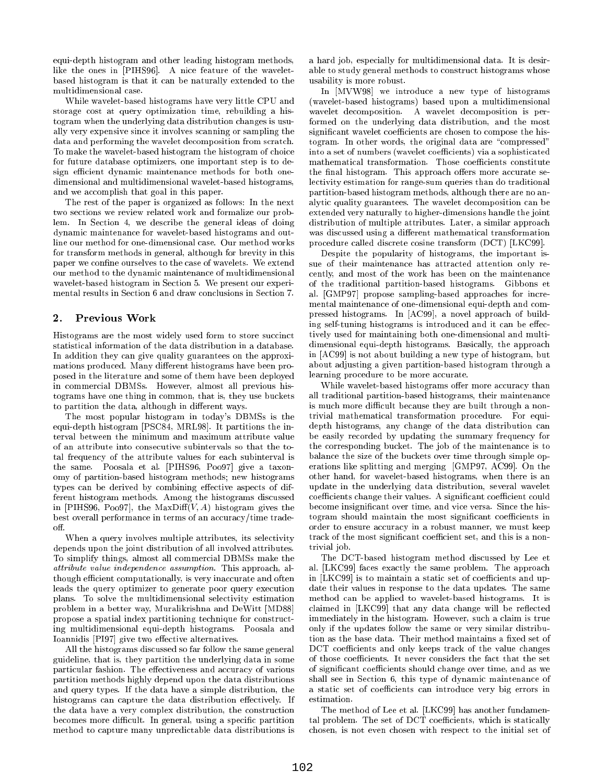equi-depth histogram and other leading histogram methods, like the ones in [PIHS96]. A nice feature of the waveletbased histogram is that it can be naturally extended to the multidimensional case.

While wavelet-based histograms have very little CPU and storage cost at query optimization time, rebuilding a histogram when the underlying data distribution changes is usually very expensive since it involves scanning or sampling the data and performing the wavelet decomposition from scratch. To make the wavelet-based histogram the histogram of choice for future database optimizers, one important step is to design efficient dynamic maintenance methods for both onedimensional and multidimensional wavelet-based histograms, and we accomplish that goal in this paper.

The rest of the paper is organized as follows: In the next two sections we review related work and formalize our problem. In Section 4, we describe the general ideas of doing dynamic maintenance for wavelet-based histograms and outline our method for one-dimensional case. Our method works for transform methods in general, although for brevity in this paper we confine ourselves to the case of wavelets. We extend our method to the dynamic maintenance of multidimensional wavelet-based histogram in Section 5. We present our experi mental results in Section 6 and draw conclusions in Section 7.

## 2. Previous Work

Histograms are the most widely used form to store succinct statistical information of the data distribution in a database. In addition they can give quality guarantees on the approximations produced. Many different histograms have been proposed in the literature and some of them have been deployed in commercial DBMSs. However, almost all previous histograms have one thing in common, that is, they use buckets to partition the data, although in different ways.

The most popular histogram in today's DBMSs is the equi-depth histogram [PSC84, MRL98]. It partitions the interval between the minimum and maximum attribute value of an attribute into consecutive subintervals so that the total frequency of the attribute values for each subinterval is the same. Poosala et al. [PIHS96, Poo97] give a taxon omy of partition-based histogram methods; new histograms types can be derived by combining effective aspects of different histogram methods. Among the histograms discussed in [PIHS96, Poo97], the MaxDiff( $V, A$ ) histogram gives the best overall performance in terms of an accuracy/time tradeoff.

When a query involves multiple attributes, its selectivity depends upon the joint distribution of all involved attributes. To simplify things, almost all commercial DBMSs make the attribute value independence assumption. This approach, although efficient computationally, is very inaccurate and often leads the query optimizer to generate poor query execution plans. To solve the multidimensional selectivity estimation problem in a better way, Muralikrishna and DeWitt [MD88] propose a spatial index partitioning technique for constructing multidimensional equi-depth histograms. Poosala and Ioannidis [PI97] give two effective alternatives.

All the histograms discussed so far follow the same general guideline, that is, they partition the underlying data in some particular fashion. The effectiveness and accuracy of various partition methods highly depend upon the data distributions and query types. If the data have a simple distribution, the histograms can capture the data distribution effectively. If the data have a very complex distribution, the construction becomes more difficult. In general, using a specific partition method to capture many unpredictable data distributions is a hard job, especially for multidimensional data. It is desirable to study general methods to construct histograms whose usability is more robust.

In [MVW98] we introduce a new type of histograms (wavelet-based histograms) based upon a multidimensional wavelet decomposition. A wavelet decomposition is performed on the underlying data distribution, and the most significant wavelet coefficients are chosen to compose the histogram. In other words, the original data are "compressed" into a set of numbers (wavelet coefficients) via a sophisticated mathematical transformation. Those coefficients constitute the final histogram. This approach offers more accurate selectivity estimation for range-sum queries than do traditional partition-based histogram methods, although there are no analytic quality guarantees. The wavelet decomposition can be extended very naturally to higher-dimensions handle the joint distribution of multiple attributes. Later, a similar approach was discussed using a different mathematical transformation procedure called discrete cosine transform (DCT) [LKC99].

Despite the popularity of histograms, the important is sue of their maintenance has attracted attention only re cently, and most of the work has been on the maintenance of the traditional partition-based histograms. Gibbons et al. [GMP97] propose sampling-based approaches for incre mental maintenance of one-dimensional equi-depth and compressed histograms. In [AC99], a novel approach of building self-tuning histograms is introduced and it can be effectively used for maintaining both one-dimensional and multidimensional equi-depth histograms. Basically, the approach in [AC99] is not about building a new type of histogram, but about adjusting a given partition-based histogram through a learning procedure to be more accurate.

While wavelet-based histograms offer more accuracy than all traditional partition-based histograms, their maintenance is much more difficult because they are built through a nontrivial mathematical transformation procedure. For equidepth histograms, any change of the data distribution can be easily recorded by updating the summary frequency for the corresponding bucket. The job of the maintenance is to balance the size of the buckets over time through simple operations like splitting and merging [GMP97, AC99]. On the other hand, for wavelet-based histograms, when there is an update in the underlying data distribution, several wavelet coefficients change their values. A significant coefficient could become insignicant over time, and vice versa. Since the histogram should maintain the most significant coefficients in order to ensure accuracy in a robust manner, we must keep track of the most significant coefficient set, and this is a nontrivial job.

The DCT-based histogram method discussed by Lee et al. [LKC99] faces exactly the same problem. The approach in [LKC99] is to maintain a static set of coefficients and update their values in response to the data updates. The same method can be applied to wavelet-based histograms. It is claimed in [LKC99] that any data change will be reflected immediately in the histogram. However, such a claim is true only if the updates follow the same or very similar distribution as the base data. Their method maintains a fixed set of DCT coefficients and only keeps track of the value changes of those coefficients. It never considers the fact that the set of significant coefficients should change over time, and as we shall see in Section 6, this type of dynamic maintenance of a static set of coefficients can introduce very big errors in estimation.

The method of Lee et al. [LKC99] has another fundamental problem. The set of DCT coefficients, which is statically chosen, is not even chosen with respect to the initial set of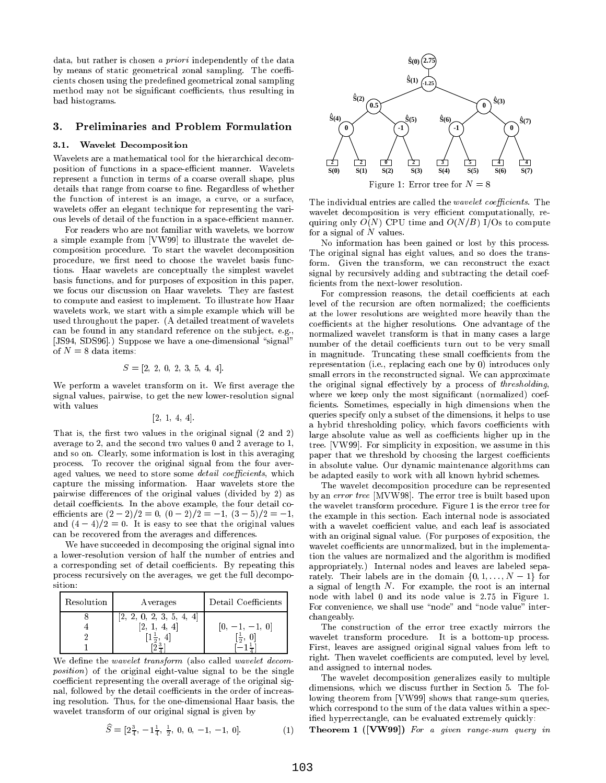data, but rather is chosen a priori independently of the data by means of static geometrical zonal sampling. The coefficients chosen using the predened geometrical zonal sampling method may not be significant coefficients, thus resulting in bad histograms.

### 3. Preliminaries and Problem Formulation

### 3.1. Wavelet Decomposition

Wavelets are a mathematical tool for the hierarchical decomposition of functions in a space-efficient manner. Wavelets represent a function in terms of a coarse overall shape, plus details that range from coarse to fine. Regardless of whether the function of interest is an image, a curve, or a surface, wavelets offer an elegant technique for representing the various levels of detail of the function in a space-efficient manner.

For readers who are not familiar with wavelets, we borrow a simple example from [VW99] to illustrate the wavelet decomposition procedure. To start the wavelet decomposition procedure, we first need to choose the wavelet basis functions. Haar wavelets are conceptually the simplest wavelet basis functions, and for purposes of exposition in this paper, we focus our discussion on Haar wavelets. They are fastest to compute and easiest to implement. To illustrate how Haar wavelets work, we start with a simple example which will be used throughout the paper. (A detailed treatment of wavelets can be found in any standard reference on the sub ject, e.g., [JS94, SDS96].) Suppose we have a one-dimensional "signal" of  $N = 8$  data items:

$$
S = [2, 2, 0, 2, 3, 5, 4, 4].
$$

We perform a wavelet transform on it. We first average the signal values, pairwise, to get the new lower-resolution signal

$$
[2, 1, 4, 4].
$$

That is, the first two values in the original signal  $(2 \text{ and } 2)$ average to 2, and the second two values 0 and 2 average to 1, and so on. Clearly, some information is lost in this averaging process. To recover the original signal from the four aver aged values, we need to store some detail coefficients, which capture the missing information. Haar wavelets store the pairwise differences of the original values (divided by 2) as detail coefficients. In the above example, the four detail coefficients are  $(2-2)/2 = 0$ ,  $(0-2)/2 = -1$ ,  $(3-5)/2 = -1$ , and  $(4-4)/2 = 0$ . It is easy to see that the original values can be recovered from the averages and differences.

We have succeeded in decomposing the original signal into a lower-resolution version of half the number of entries and a corresponding set of detail coefficients. By repeating this process recursively on the averages, we get the full decomposition:

| Resolution | Averages | Detail Coefficients |  |
|------------|----------|---------------------|--|
|            | 2,       |                     |  |
|            |          |                     |  |

We define the *wavelet transform* (also called *wavelet decom*position) of the original eight-value signal to be the single coefficient representing the overall average of the original signal, followed by the detail coefficients in the order of increasing resolution. Thus, for the one-dimensional Haar basis, the wavelet transform of our original signal is given by

$$
\widehat{S} = [2\frac{3}{4}, -1\frac{1}{4}, \frac{1}{2}, 0, 0, -1, -1, 0].
$$
 (1) The



The individual entries are called the *wavelet coefficients*. The wavelet decomposition is very efficient computationally, requiring only  $O(N)$  CPU time and  $O(N/B)$  I/Os to compute for a signal of  $N$  values.

No information has been gained or lost by this process. The original signal has eight values, and so does the transform. Given the transform, we can reconstruct the exact signal by recursively adding and subtracting the detail coef cients from the next-lower resolution.

For compression reasons, the detail coefficients at each level of the recursion are often normalized; the coefficients at the lower resolutions are weighted more heavily than the coefficients at the higher resolutions. One advantage of the normalized wavelet transform is that in many cases a large number of the detail coefficients turn out to be very small in magnitude. Truncating these small coefficients from the representation (i.e., replacing each one by 0) introduces only small errors in the reconstructed signal. We can approximate the original signal effectively by a process of *thresholding*, where we keep only the most significant (normalized) coefficients. Sometimes, especially in high dimensions when the queries specify only a subset of the dimensions, it helps to use a hybrid thresholding policy, which favors coefficients with large absolute value as well as coefficients higher up in the tree. [VW99]. For simplicity in exposition, we assume in this paper that we threshold by choosing the largest coefficients in absolute value. Our dynamic maintenance algorithms can be adapted easily to work with all known hybrid schemes.

The wavelet decomposition procedure can be represented by an error tree [MVW98]. The error tree is built based upon the wavelet transform procedure. Figure 1 is the error tree for the example in this section. Each internal node is associated with a wavelet coefficient value, and each leaf is associated with an original signal value. (For purposes of exposition, the wavelet coefficients are unnormalized, but in the implementation the values are normalized and the algorithm is modified appropriately.) Internal nodes and leaves are labeled separately. Their labels are in the domain  $\{0, 1, \ldots, N - 1\}$  for a signal of length N. For example, the root is an internal node with label 0 and its node value is 2.75 in Figure 1. For convenience, we shall use "node" and "node value" interchangeably.

The construction of the error tree exactly mirrors the wavelet transform procedure. It is a bottom-up process. First, leaves are assigned original signal values from left to right. Then wavelet coefficients are computed, level by level, and assigned to internal nodes.

The wavelet decomposition generalizes easily to multiple dimensions, which we discuss further in Section 5. The following theorem from [VW99] shows that range-sum queries, which correspond to the sum of the data values within a specied hyperrectangle, can be evaluated extremely quickly:

Theorem 1 ([VW99]) For a given range-sum query in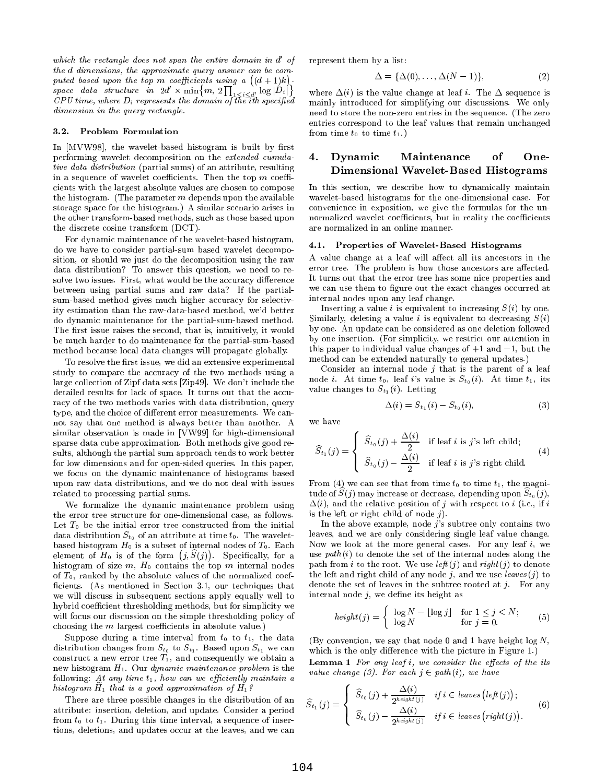which the rectangle does not span the entire domain in d <sup>0</sup> the d dimensions, the approximate query answer can be com puted based upon the top m coefficients using a  $((d+1)k)$ . space data structure in  $2d' \times \min\{m, 2\prod_{1 \leq i \leq d'} \log |D_i|\}$  where CPU time, where  $D_i$  represents the domain of the ith specified dimension in the query rectangle.

#### 3.2. Problem Formulation

In  $[MVW98]$ , the wavelet-based histogram is built by first performing wavelet decomposition on the extended cumulative data distribution (partial sums) of an attribute, resulting in a sequence of wavelet coefficients. Then the top  $m$  coefficients with the largest absolute values are chosen to compose the histogram. (The parameter  $m$  depends upon the available storage space for the histogram.) A similar scenario arises in the other transform-based methods, such as those based upon the discrete cosine transform (DCT).

For dynamic maintenance of the wavelet-based histogram, do we have to consider partial-sum based wavelet decomposition, or should we just do the decomposition using the raw data distribution? To answer this question, we need to resolve two issues. First, what would be the accuracy difference between using partial sums and raw data? If the partialsum-based method gives much higher accuracy for selectivity estimation than the raw-data-based method, we'd better do dynamic maintenance for the partial-sum-based method. The first issue raises the second, that is, intuitively, it would be much harder to do maintenance for the partial-sum-based method because local data changes will propagate globally.

To resolve the first issue, we did an extensive experimental study to compare the accuracy of the two methods using a large collection of Zipf data sets [Zip49]. We don't include the detailed results for lack of space. It turns out that the accuracy of the two methods varies with data distribution, query type, and the choice of different error measurements. We cannot say that one method is always better than another. A similar observation is made in [VW99] for high-dimensional sparse data cube approximation. Both methods give good results, although the partial sum approach tends to work better for low dimensions and for open-sided queries. In this paper, we focus on the dynamic maintenance of histograms based upon raw data distributions, and we do not deal with issues related to processing partial sums.

We formalize the dynamic maintenance problem using the error tree structure for one-dimensional case, as follows. Let  $T_0$  be the initial error tree constructed from the initial data distribution  $S_{t_0}$  of an attribute at time  $t_0$ . The waveletbased histogram  $H_0$  is a subset of internal nodes of  $T_0$ . Each element of  $H_0$  is of the form  $(j, \hat{S}(j))$ . Specifically, for a use p histogram of size  $m$ ,  $H_0$  contains the top  $m$  internal nodes of  $T_0$ , ranked by the absolute values of the normalized coefficients. (As mentioned in Section 3.1, our techniques that we will discuss in subsequent sections apply equally well to hy brid coefficient thresholding methods, but for simplicity we will focus our discussion on the simple thresholding policy of choosing the  $m$  largest coefficients in absolute value.)

Suppose during a time interval from  $t_0$  to  $t_1$ , the data distribution changes from  $S_{t_0}$  to  $S_{t_1}$ . Based upon  $S_{t_1}$  we can construct a new error tree  $T_1$ , and consequently we obtain a new histogram  $H_1$ . Our *dynamic maintenance problem* is the following: At any time  $t_1$ , how can we efficiently maintain a  $n$  that  $\mu$  is a good approximation of  $\mu$ :

There are three possible changes in the distribution of an attribute: insertion, deletion, and update. Consider a period from  $t_0$  to  $t_1$ . During this time interval, a sequence of insertions, deletions, and updates occur at the leaves, and we can

of represent them by a list of the present them by a list of the present them by a list of the present them by

$$
\Delta = \{ \Delta(0), \dots, \Delta(N-1) \},\tag{2}
$$

where  $\Delta(i)$  is the value change at leaf i. The  $\Delta$  sequence is mainly introduced for simplifying our discussions. We only need to store the non-zero entries in the sequence. (The zero entries correspond to the leaf values that remain unchanged from time  $t_0$  to time  $t_1$ .)

# 4. Dynamic Maintenance of One-Dimensional Wavelet-Based Histograms

In this section, we describe how to dynamically maintain wavelet-based histograms for the one-dimensional case. For convenience in exposition, we give the formulas for the unnormalized wavelet coefficients, but in reality the coefficients are normalized in an online manner.

### 4.1. Properties of Wavelet-Based Histograms

A value change at a leaf will affect all its ancestors in the error tree. The problem is how those ancestors are affected. It turns out that the error tree has some nice properties and we can use them to figure out the exact changes occurred at internal nodes upon any leaf change.

Inserting a value i is equivalent to increasing  $S(i)$  by one. Similarly, deleting a value i is equivalent to decreasing  $S(i)$ by one. An update can be considered as one deletion followed by one insertion. (For simplicity, we restrict our attention in this paper to individual value changes of  $+1$  and  $-1$ , but the method can be extended naturally to general updates.)

Consider an internal node  $j$  that is the parent of a leaf node *i*. At time  $t_0$ , leaf *i*'s value is  $S_{t_0}(i)$ . At time  $t_1$ , its value changes to  $S_{t_1}(i)$ . Letting

 $\lambda$ 

$$
\Delta(i) = S_{t_1}(i) - S_{t_0}(i), \tag{3}
$$

$$
\widehat{S}_{t_1}(j) = \begin{cases}\n\widehat{S}_{t_0}(j) + \frac{\Delta(i)}{2} & \text{if leaf } i \text{ is } j\text{'s left child;} \\
\widehat{S}_{t_0}(j) - \frac{\Delta(i)}{2} & \text{if leaf } i \text{ is } j\text{'s right child.} \n\end{cases}
$$
\n(4)

From (4) we can see that from time  $t_0$  to time  $t_1$ , the magni $t$  ade or  $\mathcal{O}(f)$  may increase or decrease, depending upon  $\mathcal{O}(t_0/f)$ ,  $\Delta(i)$ , and the relative position of j with respect to i (i.e., if i is the left or right child of node  $j$ .

In the above example, node  $j$ 's subtree only contains two leaves, and we are only considering single leaf value change. Now we look at the more general cases. For any leaf  $i$ , we use  $path(i)$  to denote the set of the internal nodes along the path from i to the root. We use  $\mathit{left}(j)$  and  $\mathit{right}(j)$  to denote the left and right child of any node j, and we use  $leaves(j)$  to denote the set of leaves in the subtree rooted at  $j$ . For any internal node  $j$ , we define its height as

$$
height(j) = \begin{cases} \log N - \lfloor \log j \rfloor & \text{for } 1 \le j < N; \\ \log N & \text{for } j = 0. \end{cases} \tag{5}
$$

(By convention, we say that node 0 and 1 have height  $log N$ , which is the only difference with the picture in Figure 1.) **Lemma 1** For any leaf  $i$ , we consider the effects of the its

value change (3). For each  $j \in path (i)$ , we have

$$
\widehat{S}_{t_1}(j) = \begin{cases}\n\widehat{S}_{t_0}(j) + \frac{\Delta(i)}{2^{height(j)}} & if i \in leaves\left(left(j)\right); \\
\widehat{S}_{t_0}(j) - \frac{\Delta(i)}{2^{height(j)}} & if i \in leaves\left(right(j)\right).\n\end{cases}
$$
\n(6)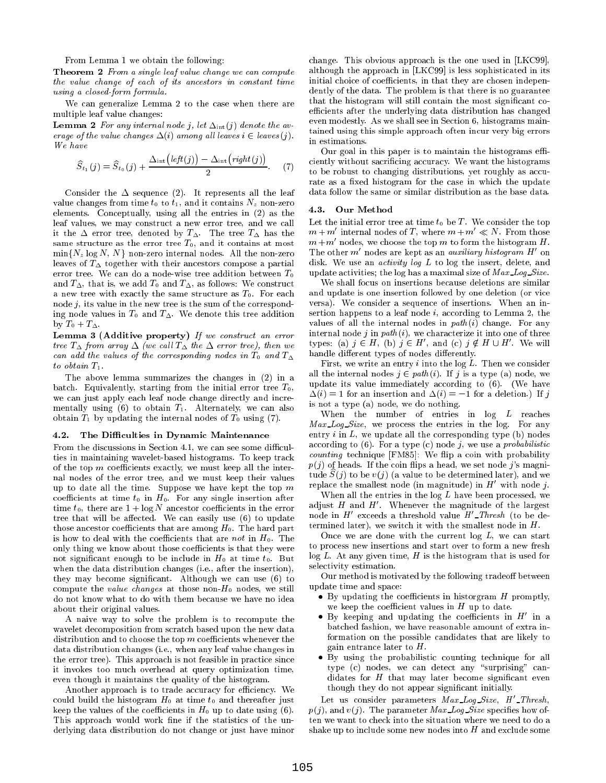From Lemma 1 we obtain the following:

Theorem 2 From a single leaf value change we can compute the value change of each of its ancestors in constant time using a closed-form formula.

We can generalize Lemma 2 to the case when there are multiple leaf value changes:

**Lemma 2** For any internal node j, let  $\Delta_{int}(j)$  denote the average of the value changes  $\Delta(i)$  among all leaves  $i \in leaves (j)$ . We have

$$
\widehat{S}_{t_1}(j) = \widehat{S}_{t_0}(j) + \frac{\Delta_{\rm int}\big(\text{left}(j)\big) - \Delta_{\rm int}\big(\text{right}(j)\big)}{2}.
$$
 (7)

Consider the  $\Delta$  sequence (2). It represents all the leaf value changes from time  $t_0$  to  $t_1$ , and it contains  $N_z$  non-zero<br>clamatic Concentrally, using all the entries in (2) as the 4.3. elements. Conceptually, using all the entries in (2) as the leaf values, we may construct a new error tree, and we call it the  $\Delta$  error tree, denoted by  $T_{\Delta}$ . The tree  $T_{\Delta}$  has the same structure as the error tree  $T_0$ , and it contains at most  $\min\{N_z \log N, N\}$  non-zero internal nodes. All the non-zero leaves of  $T_{\Delta}$  together with their ancestors compose a partial error tree. We can do a node-wise tree addition between  $T_0$ and  $T_{\Delta}$ , that is, we add  $T_0$  and  $T_{\Delta}$ , as follows: We construct a new tree with exactly the same structure as  $T_0$ . For each node  $j$ , its value in the new tree is the sum of the corresponding node values in  $T_0$  and  $T_{\Delta}$ . We denote this tree addition by  $T_0 + T_{\Delta}$ .

Lemma 3 (Additive property) If we construct an error tree  $T_{\Delta}$  from array  $\Delta$  (we call  $T_{\Delta}$  the  $\Delta$  error tree), then we can add the values of the corresponding nodes in  $T_0$  and  $T_{\Delta}$ to obtain  $T_1$ .

The above lemma summarizes the changes in (2) in a batch. Equivalently, starting from the initial error tree  $T_0$ , we can just apply each leaf node change directly and incre mentally using  $(6)$  to obtain  $T_1$ . Alternately, we can also obtain  $T_1$  by updating the internal nodes of  $T_0$  using (7).

### 4.2. The Difficulties in Dynamic Maintenance

From the discussions in Section 4.1, we can see some difficulties in maintaining wavelet-based histograms. To keep track of the top  $m$  coefficients exactly, we must keep all the internal nodes of the error tree, and we must keep their values up to date all the time. Suppose we have kept the top  $m$ coefficients at time  $t_0$  in  $H_0$ . For any single insertion after time  $t_0$ , there are  $1 + \log N$  ancestor coefficients in the error tree that will be affected. We can easily use  $(6)$  to update those ancestor coefficients that are among  $H_0$ . The hard part is how to deal with the coefficients that are not in  $H_0$ . The only thing we know about those coefficients is that they were not significant enough to be include in  $H_0$  at time  $t_0$ . But when the data distribution changes (i.e., after the insertion), they may become significant. Although we can use (6) to compute the *value changes* at those non- $H_0$  nodes, we still do not know what to do with them because we have no idea about their original values.

A naive way to solve the problem is to recompute the wavelet decomposition from scratch based upon the new data distribution and to choose the top  $m$  coefficients whenever the data distribution changes (i.e., when any leaf value changes in the error tree). This approach is not feasible in practice since it invokes too much overhead at query optimization time, even though it maintains the quality of the histogram.

Another approach is to trade accuracy for efficiency. We could build the histogram  $H_0$  at time  $t_0$  and thereafter just keep the values of the coefficients in  $H_0$  up to date using (6). This approach would work fine if the statistics of the underlying data distribution do not change or just have minor

change. This obvious approach is the one used in [LKC99], although the approach in [LKC99] is less sophisticated in its initial choice of coefficients, in that they are chosen independently of the data. The problem is that there is no guarantee that the histogram will still contain the most signicant coefficients after the underlying data distribution has changed even modestly. As we shall see in Section 6, histograms maintained using this simple approach often incur very big errors in estimations.

: (7) to be robust to changing distributions, yet roughly as accu-Our goal in this paper is to maintain the histograms efficiently without sacricing accuracy. We want the histograms rate as a fixed histogram for the case in which the update data follow the same or similar distribution as the base data.

### Our Method

Let the initial error tree at time  $t_0$  be T. We consider the top  $m + m'$  internal nodes of T, where  $m + m' \ll N$ . From those  $m+m'$  nodes, we choose the top m to form the histogram H. The other  $m'$  nodes are kept as an *auxiliary histogram*  $H'$  on disk. We use an *activity log L* to log the insert, delete, and update activities; the log has a maximal size of Max Log-Size.

We shall focus on insertions because deletions are similar and update is one insertion followed by one deletion (or vice versa). We consider a sequence of insertions. When an insertion happens to a leaf node i, according to Lemma 2, the values of all the internal nodes in  $path(i)$  change. For any internal node j in  $path(i)$ , we characterize it into one of three types: (a)  $j \in H$ , (b)  $j \in H$ , and (c)  $j \notin H \cup H$ . We will handle different types of nodes differently.

First, we write an entry  $i$  into the log  $L$ . Then we consider all the internal nodes  $j \in path(i)$ . If j is a type (a) node, we update its value immediately according to (6). (We have  $\Delta(i) = 1$  for an insertion and  $\Delta(i) = -1$  for a deletion.) If j is not a type (a) node, we do nothing.

When the number of entries in log L reaches  $Max\_{Log\_{Size}$ , we process the entries in the log. For any entry  $i$  in  $L$ , we update all the corresponding type (b) nodes according to  $(6)$ . For a type  $(c)$  node j, we use a *probabilistic*  $counting$  technique  $[FM85]$ : We flip a coin with probability  $p(j)$  of heads. If the coin flips a head, we set node j's magnitude  $S(j)$  to be  $v(j)$  (a value to be determined later), and we replace the smallest node (in magnitude) in  $H'$  with node j.

When all the entries in the  $log L$  have been processed, we adjust  $H$  and  $H'$ . Whenever the magnitude of the largest node in  $H'$  exceeds a threshold value  $H'$ <sub>-Thresh</sub> (to be determined later), we switch it with the smallest node in H.

Once we are done with the current  $log L$ , we can start to process new insertions and start over to form a new fresh  $log L$ . At any given time, H is the histogram that is used for selectivity estimation.

Our method is motivated by the following tradeoff between update time and space:

- $\bullet$  By updating the coefficients in historgram  $H$  promptly, we keep the coefficient values in  $H$  up to date.
- $\bullet$  By keeping and updating the coefficients in  $H'$  in a batched fashion, we have reasonable amount of extra information on the possible candidates that are likely to gain entrance later to  $H$ .
- By using the probabilistic counting technique for all type  $(c)$  nodes, we can detect any "surprising" candidates for  $H$  that may later become significant even though they do not appear signicant initially.

Let us consider parameters  $Max\_Log\_Size$ ,  $H'\_Threshold$ ,  $p(j)$ , and  $v(j)$ . The parameter Max Log Size specifies how often we want to check into the situation where we need to do a shake up to include some new nodes into  $H$  and exclude some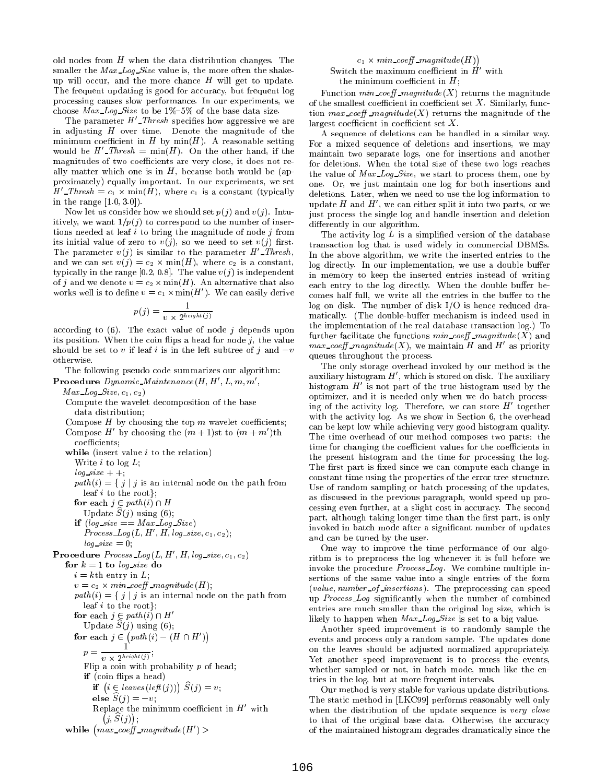old nodes from  $H$  when the data distribution changes. The smaller the *Max Log Size* value is, the more often the shakeup will occur, and the more chance  $H$  will get to update. The frequent updating is good for accuracy, but frequent log processing causes slow performance. In our experiments, we choose *Max Log Size* to be  $1\% -5\%$  of the base data size.

The parameter  $H'$ -Thresh specifies how aggressive we are in adjusting  $H$  over time. Denote the magnitude of the minimum coefficient in H by  $min(H)$ . A reasonable setting would be  $H'$ -Thresh = min(H). On the other hand, if the magnitudes of two coefficients are very close, it does not really matter which one is in  $H$ , because both would be (approximately) equally important. In our experiments, we set  $H$  Internal  $c_1 \times \min(H)$ , where  $c_1$  is a constant (typically dependent in the range  $[1.0, 3.0]$ .

Now let us consider how we should set  $p(j)$  and  $v(j)$ . Intuitively, we want  $1/p(j)$  to correspond to the number of insertions needed at leaf  $i$  to bring the magnitude of node  $j$  from its initial value of zero to  $v(j)$ , so we need to set  $v(j)$  first. The parameter  $v(j)$  is similar to the parameter H'\_Thresh, and we can set  $\mathcal{L}_{i,j}$  , where  $\mathcal{L}_{i,j}$  is a constant, where can constant  $\mathcal{L}_{i,j}$ typically in the range [0.2, 0.8]. The value  $v(j)$  is independent of <sup>j</sup> and we denote <sup>v</sup> <sup>=</sup> c2 -min(H). An alternative that also works well is to define  $v = c_1 \times \min(H)$ . We can easily derive  $\epsilon_{\text{corr}}$ 

$$
p(j) = \frac{1}{v \times 2^{height(j)}}
$$

according to  $(6)$ . The exact value of node j depends upon its position. When the coin flips a head for node  $j$ , the value should be set to v if leaf i is in the left subtree of j and  $-v$ otherwise.

The following pseudo code summarizes our algorithm:

**Procedure**  $Dynamic\_Maintenance(H, H', L, m, m',$  $Max\_{Log\_{Size, c_1, c_2})$ 

Compute the wavelet decomposition of the base data distribution;

Compose  $H$  by choosing the top  $m$  wavelet coefficients; Compose H<sup>'</sup> by choosing the  $(m + 1)$ st to  $(m + m')$ th coefficients; while (insert value  $i$  to the relation) Write  $i$  to log  $L$ ;  $log\_size + +;$  $path(i) = \{ j | j \text{ is an internal node on the path from }$ leaf i to the root}; for each interest in the contract of the contract of the contract of the contract of the contract of the contract of the contract of the contract of the contract of the contract of the contract of the contract of the cont Update  $S(j)$  using (6); if  $(log\_size == Max\_Log\_Size)$  $Process\_Log(L, H', H, log\_size, c_1, c_2);$ 

 $log\_size = 0;$ **Procedure**  $Process\_{Log}(L, H', H, log\_size, c_1, c_2)$ for  $k = 1$  to log-size do  $i = k$ th entry in L; <sup>v</sup> <sup>=</sup> c2 - min coe magnitude (H);  $path(i) = \{ j | j \text{ is an internal node on the path from }$ leaf i to the root}; for each  $j \in path(i) \sqcup H$ Update  $S(j)$  using (6); for each  $j \in (path(i) - (H \cap H'))$  $p = \frac{1}{2(1+1)(n)}$  $v \times 2^{height(j)}$ Flip a coin with probability  $p$  of head; if (coin flips a head) if  $(i \in leaves(left(j))) \ \ \widetilde{S}(j) = v;$ else  $S(j) = -v$ ; Replace the minimum coefficient in  $H$  with  $j, S(j)$ ; while  $\left( max\_coeff\_magnitude(H') \right)$ 

### $c_1 \times min\_coeff\_magnitude(H))$ Switch the maximum coefficient in  $H'$  with the minimum coefficient in  $H$ ;

Function  $min\_coeff\_magnitude(X)$  returns the magnitude of the smallest coefficient in coefficient set  $X$ . Similarly, function max\_coeff\_magnitude(X) returns the magnitude of the largest coefficient in coefficient set  $X$ .

A sequence of deletions can be handled in a similar way. For a mixed sequence of deletions and insertions, we may maintain two separate logs, one for insertions and another for deletions. When the total size of these two logs reaches the value of  $Max\_Log\_Size$ , we start to process them, one by one. Or, we just maintain one log for both insertions and deletions. Later, when we need to use the log information to update H and  $H'$ , we can either split it into two parts, or we just process the single log and handle insertion and deletion differently in our algorithm.

The activity  $log L$  is a simplified version of the database transaction log that is used widely in commercial DBMSs. In the above algorithm, we write the inserted entries to the log directly. In our implementation, we use a double buffer in memory to keep the inserted entries instead of writing each entry to the log directly. When the double buffer becomes half full, we write all the entries in the buffer to the log on disk. The number of disk I/O is hence reduced dramatically. (The double-buffer mechanism is indeed used in the implementation of the real database transaction log.) To further facilitate the functions  $min\_coeff\_magnitude(X)$  and  $max\_coeff\_magnitude(X)$ , we maintain H and H' as priority queues throughout the process.

The only storage overhead invoked by our method is the auxiliary histogram  $H'$ , which is stored on disk. The auxiliary histogram  $H'$  is not part of the true histogram used by the optimizer, and it is needed only when we do batch processing of the activity log. Therefore, we can store  $H'$  together with the activity log. As we show in Section 6, the overhead can be kept low while achieving very good histogram quality. The time overhead of our method composes two parts: the time for changing the coefficient values for the coefficients in the present histogram and the time for processing the log. The first part is fixed since we can compute each change in constant time using the properties of the error tree structure. Use of random sampling or batch processing of the updates, as discussed in the previous paragraph, would speed up processing even further, at a slight cost in accuracy. The second part, although taking longer time than the first part, is only invoked in batch mode after a signicant number of updates and can be tuned by the user.

One way to improve the time performance of our algorithm is to preprocess the log whenever it is full before we invoke the procedure Process Log . We combine multiple insertions of the same value into a single entries of the form  $\emph{(value, number_of_insections)}$ . The preprocessing can speed up Process Log signicantly when the number of combined entries are much smaller than the original log size, which is likely to happen when *Max Log Size* is set to a big value.

Another speed improvement is to randomly sample the events and process only a random sample. The updates done on the leaves should be adjusted normalized appropriately. Yet another speed improvement is to process the events, whether sampled or not, in batch mode, much like the entries in the log, but at more frequent intervals.

Our method is very stable for various update distributions. The static method in [LKC99] performs reasonably well only when the distribution of the update sequence is very close to that of the original base data. Otherwise, the accuracy of the maintained histogram degrades dramatically since the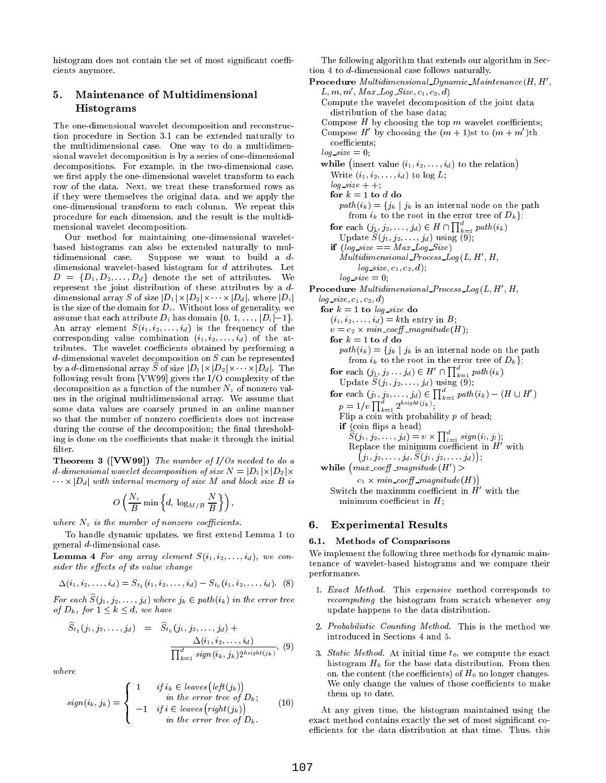histogram does not contain the set of most significant coefficients anymore.

#### 5. Maintenance of Multidimensional 5. Histograms

The one-dimensional wavelet decomposition and reconstruction procedure in Section 3.1 can be extended naturally to the multidimensional case. One way to do a multidimensional wavelet decomposition is by a series of one-dimensional decompositions. For example, in the two-dimensional case, we first apply the one-dimensional wavelet transform to each row of the data. Next, we treat these transformed rows as if they were themselves the original data, and we apply the one-dimensional transform to each column. We repeat this procedure for each dimension, and the result is the multidimensional wavelet decomposition.

Our method for maintaining one-dimensional waveletbased histograms can also be extended naturally to multidimensional case. Suppose we want to build a d dimensional wavelet-based histogram for d attributes. Let  $\Box$  . The set of attributes the set of attributes. We set  $\Box$ represent the joint distribution of these attributes by a d dimensional array S of size just in the size in the size in the size in the size in the size in the size in th is the size of the domain for  $D_i$ . Without loss of generality, we assume that each attribute  $D_i$  has domain  $\{0, 1, \ldots, |D_i|-1\}.$ An array element  $S(i_1, i_2, \ldots, i_d)$  is the frequency of the corresponding value combination  $(i_1, i_2, \ldots, i_d)$  of the attributes. The wavelet coefficients obtained by performing a d-dimensional wavelet decomposition on S can be represented by a d-dimensional array  $D$  or size  $|D_1| \wedge |D_2| \wedge \cdots \wedge |D_d|$ . The following result from [VW99] gives the I/O complexity of the decomposition as a function of the number  $N_z$  of nonzero values in the original multidimensional array. We assume that some data values are coarsely pruned in an online manner so that the number of nonzero coefficients does not increase during the course of the decomposition; the final thresholding is done on the coefficients that make it through the initial  $filter$ 

**Theorem 3 ([VW99])** The number of  $I/Os$  needed to do a d-dimensional wavelet dimensional wavelet decomposition of size  $\mathbb{R}^n$  jet  $\mathbb{R}^n$  jointly wavelet  $\mathbb{R}^n$  $\alpha$  is joint internal memory of size and block size  $\alpha$  is a isomorphic size  $\alpha$ 

$$
O\left(\frac{N_z}{B}\min\left\{d, \log_{M/B}\frac{N}{B}\right\}\right),\right
$$

where  $N_z$  is the number of nonzero coefficients.

To handle dynamic updates, we first extend Lemma 1 to general d-dimensional case.

**Lemma 4** For any array element  $S(i_1, i_2, \ldots, i_d)$ , we consider the effects of its value change

$$
\Delta(i_1, i_2, \ldots, i_d) = S_{t_1}(i_1, i_2, \ldots, i_d) - S_{t_0}(i_1, i_2, \ldots, i_d). \quad (8)
$$

For each  $S(j_1, j_2, \ldots, j_d)$  where  $j_k \in path (i_k)$  in the error tree of  $D_k$ , for  $1 \leq k \leq d$ , we have

$$
\widehat{S}_{t_1}(j_1, j_2, \dots, j_d) = \widehat{S}_{t_0}(j_1, j_2, \dots, j_d) + \frac{\Delta(i_1, i_2, \dots, i_d)}{\prod_{k=1}^d sign(i_k, j_k) 2^{height(j_k)}}, (9)
$$

$$
sign(i_k, j_k) = \begin{cases} 1 & if i_k \in leaves (left(j_k)) \\ & in the error tree of D_k; \\ -1 & if i \in leaves (right(j_k)) \\ & in the error tree of D_k. \end{cases} (10)
$$
exz

The following algorithm that extends our algorithm in Section 4 to d-dimensional case follows naturally.

- Procedure Multidimensional Dynamic Maintenance  $(H, H',$  $L, m, m', Max\_Log\_Size, c_1, c_2, d$ Compute the wavelet decomposition of the joint data distribution of the base data;
	- Compose  $H$  by choosing the top  $m$  wavelet coefficients;
	- Compose H<sup>'</sup> by choosing the  $(m + 1)$ st to  $(m + m')$ th coefficients;
	- $log\_size = 0;$ while (insert value  $(i_1, i_2, \ldots, i_d)$  to the relation) Write  $(i_1, i_2, \ldots, i_d)$  to log L;  $log\_size + +;$ for  $k = 1$  to d do  $path(i_k) = \{j_k | j_k \text{ is an internal node on the path }\}$ from  $i_k$  to the root in the error tree of  $D_k$ ; for each  $(j_1, j_2, \ldots, j_d) \in H \cap \prod_{k=1}^d path(i_k)$ Update  $S(j_1, j_2, \ldots, j_d)$  using (9); if  $(log\_size == Max\_Log\_Size)$  $Multidimensional\_Process\_Log(L, H', H,$  $log\_size, c_1, c_2, d$ ;

 $log\_size = 0;$ **Procedure** Multidimensional Process  $Log(L, H', H, )$ 

 $log\_size, c_1, c_2, d)$ for  $k = 1$  to  $log\_size$  do  $(i_1, i_2, \ldots, i_d) = k$ th entry in B; <sup>v</sup> <sup>=</sup> c2 - min coe magnitude (H); for  $k = 1$  to d do  $path(i_k) = \{j_k | j_k \text{ is an internal node on the path }\}$ from  $i_k$  to the root in the error tree of  $D_k$ ; for each  $(j_1, j_2 \tcdots j_d) \in H' \cap \prod_{k=1}^a path(i_k)$  $U$  puate  $D$  (*j*<sub>1</sub>, *j*<sub>2</sub>;  $\cdots$ , *j*<sub>d</sub>) using (9); for each  $(j_1, j_2, \ldots, j_d) \in \prod_{k=1}^a path(i_k) - (H \cup H')$  $p=1/v \prod_{k=1}^{a} 2^{height(j_k)};$ Flip a coin with probability  $p$  of head; if (coine in part of money)  $S(j_1, j_2, \ldots, j_d) = v \times \prod_{i=1}^d sign(i_i)$ Replace the minimum coefficient in  $H^{\prime}$  with  $j_1, j_2, \ldots, j_d, S(j_1, j_2, \ldots, j_d)$ ; while  $\left( max\_coeff\_magnitude(H') \right)$  $c_1 \times min\_coeff\_magnitude(H))$ Switch the maximum coefficient in  $H'$  with the minimum coefficient in  $H$ ;

### 6. Experimental Results

### 6.1. Methods of Comparisons

We implement the following three methods for dynamic maintenance of wavelet-based histograms and we compare their performance.

- 1. Exact Method. This expensive method corresponds to recomputing the histogram from scratch whenever any update happens to the data distribution.
- 2. Probabilistic Counting Method. This is the method we introduced in Sections 4 and 5.
- $\mathcal{S}^{(1)}$  3. Static Method. At initial time  $t_0$ , we compute the exact histogram  $H_0$  for the base data distribution. From then on, the content (the coefficients) of  $H_0$  no longer changes. We only change the values of those coefficients to make them up to date.

At any given time, the histogram maintained using the exact method contains exactly the set of most signicant coefficients for the data distribution at that time. Thus, this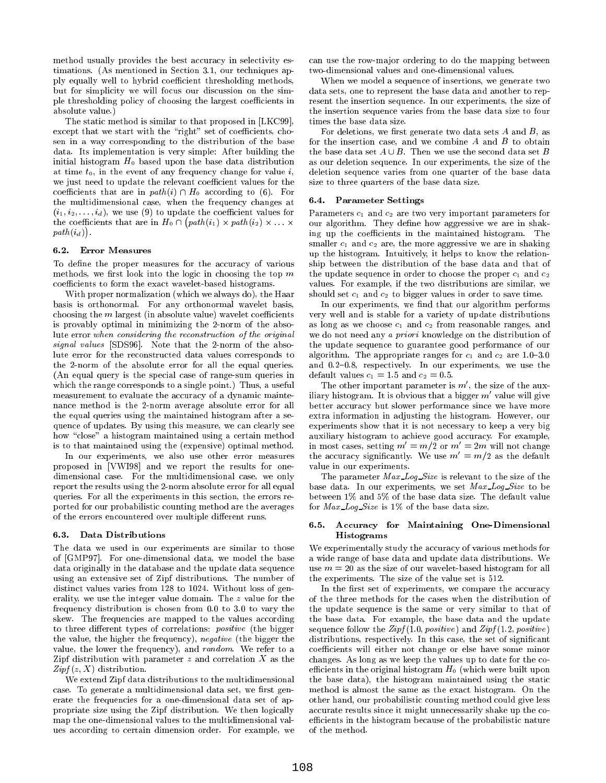method usually provides the best accuracy in selectivity estimations. (As mentioned in Section 3.1, our techniques apply equally well to hybrid coefficient thresholding methods, but for simplicity we will focus our discussion on the simple thresholding policy of choosing the largest coefficients in absolute value.)

The static method is similar to that proposed in [LKC99], except that we start with the "right" set of coefficients, chosen in a way corresponding to the distribution of the base data. Its implementation is very simple: After building the initial histogram  $H_0$  based upon the base data distribution at time  $t_0$ , in the event of any frequency change for value i, we just need to update the relevant coefficient values for the coecients that are in path (i)  $\mathcal{M}$  according to (6). For  $\mathcal{M}$ the multidimensional case, when the frequency changes at  $(i_1, i_2, \ldots, i_d)$ , we use (9) to update the coefficient values for the coefficients that are in  $H_0 \cap (path(i_1) \times path(i_2) \times ... \times)$  our  $path(i_d)$ .

### 6.2. Error Measures

To define the proper measures for the accuracy of various methods, we first look into the logic in choosing the top  $m$ coefficients to form the exact wavelet-based histograms.

With proper normalization (which we always do), the Haar basis is orthonormal. For any orthonormal wavelet basis, choosing the  $m$  largest (in absolute value) wavelet coefficients is provably optimal in minimizing the 2-norm of the absolute error when considering the reconstruction of the original signal values [SDS96]. Note that the 2-norm of the absolute error for the reconstructed data values corresponds to the 2-norm of the absolute error for all the equal queries. (An equal query is the special case of range-sum queries in which the range corresponds to a single point.) Thus, a useful measurement to evaluate the accuracy of a dynamic mainte nance method is the 2-norm average absolute error for all the equal queries using the maintained histogram after a sequence of updates. By using this measure, we can clearly see how "close" a histogram maintained using a certain method is to that maintained using the (expensive) optimal method.

In our experiments, we also use other error measures proposed in [VWI98] and we report the results for one dimensional case. For the multidimensional case, we only report the results using the 2-norm absolute error for all equal queries. For all the experiments in this section, the errors reported for our probabilistic counting method are the averages of the errors encountered over multiple different runs.

### 6.3. Data Distributions

The data we used in our experiments are similar to those of [GMP97]. For one-dimensional data, we model the base data originally in the database and the update data sequence using an extensive set of Zipf distributions. The number of distinct values varies from 128 to 1024. Without loss of generality, we use the integer value domain. The z value for the frequency distribution is chosen from 0.0 to 3.0 to vary the skew. The frequencies are mapped to the values according to three different types of correlations: *positive* (the bigger the value, the higher the frequency), negative (the bigger the value, the lower the frequency), and random. We refer to a Zipf distribution with parameter  $z$  and correlation  $X$  as the  $Zipf(z, X)$  distribution.

We extend Zipf data distributions to the multidimensional case. To generate a multidimensional data set, we first generate the frequencies for a one-dimensional data set of appropriate size using the Zipf distribution. We then logically map the one-dimensional values to the multidimensional values according to certain dimension order. For example, we can use the row-ma jor ordering to do the mapping between two-dimensional values and one-dimensional values.

When we model a sequence of insertions, we generate two data sets, one to represent the base data and another to rep resent the insertion sequence. In our experiments, the size of the insertion sequence varies from the base data size to four times the base data size.

For deletions, we first generate two data sets  $A$  and  $B$ , as for the insertion case, and we combine  $A$  and  $B$  to obtain the base data set  $A \cup B$ . Then we use the second data set B as our deletion sequence. In our experiments, the size of the deletion sequence varies from one quarter of the base data size to three quarters of the base data size.

### 6.4. Parameter Settings

 our algorithm. They dene how aggressive we are in shak-Parameters  $c_1$  and  $c_2$  are two very important parameters for ing up the coefficients in the maintained histogram. The smaller  $c_1$  and  $c_2$  are, the more aggressive we are in shaking up the histogram. Intuitively, it helps to know the relationship between the distribution of the base data and that of the update sequence in order to choose the proper  $c_1$  and  $c_2$ values. For example, if the two distributions are similar, we should set  $c_1$  and  $c_2$  to bigger values in order to save time.

In our experiments, we find that our algorithm performs very well and is stable for a variety of update distributions as long as we choose  $c_1$  and  $c_2$  from reasonable ranges, and we do not need any a priori knowledge on the distribution of the update sequence to guarantee good performance of our algorithm. The appropriate ranges for  $c_1$  and  $c_2$  are 1.0-3.0 and  $0.2{-}0.8$ , respectively. In our experiments, we use the default values  $c_1 = 1.5$  and  $c_2 = 0.5$ .

The other important parameter is  $m'$ , the size of the auxiliary histogram. It is obvious that a bigger  $m'$  value will give better accuracy but slower performance since we have more extra information in adjusting the histogram. However, our experiments show that it is not necessary to keep a very big auxiliary histogram to achieve good accuracy. For example, in most cases, setting  $m' = m/2$  or  $m' = 2m$  will not change the accuracy significantly. We use  $m' = m/2$  as the default value in our experiments.

The parameter Max Log-Size is relevant to the size of the base data. In our experiments, we set Max Log Size to be between 1% and 5% of the base data size. The default value for Max Log Size is 1% of the base data size.

### 6.5. Accuracy for Maintaining One-Dimensional Histograms

We experimentally study the accuracy of various methods for a wide range of base data and update data distributions. We use  $m = 20$  as the size of our wavelet-based histogram for all the experiments. The size of the value set is 512.

In the first set of experiments, we compare the accuracy of the three methods for the cases when the distribution of the update sequence is the same or very similar to that of the base data. For example, the base data and the update sequence follow the  $Zipf(1.0, positive)$  and  $Zipf(1.2, positive)$ distributions, respectively. In this case, the set of significant coefficients will either not change or else have some minor changes. As long as we keep the values up to date for the coefficients in the original histogram  $H_0$  (which were built upon the base data), the histogram maintained using the static method is almost the same as the exact histogram. On the other hand, our probabilistic counting method could give less accurate results since it might unnecessarily shake up the coefficients in the histogram because of the probabilistic nature of the method.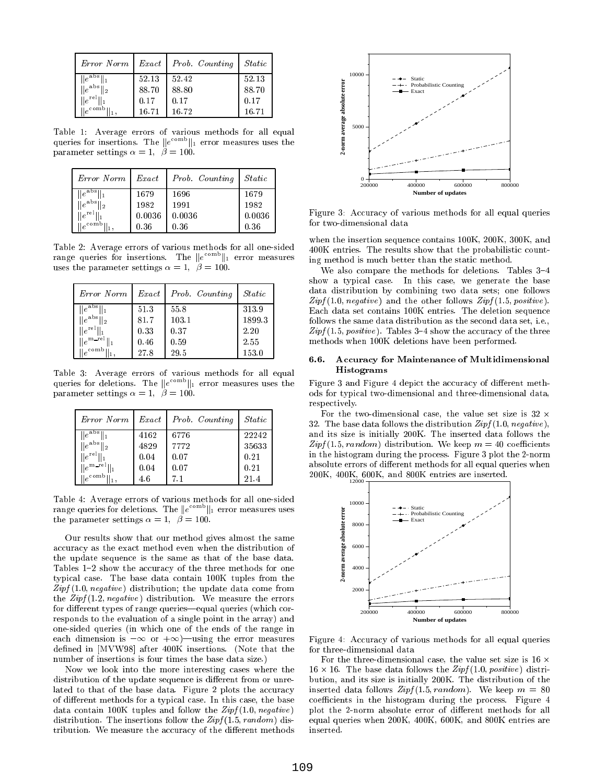| Error Norm                 |       | $Exact   Prob.$ Counting | <i>Static</i> |
|----------------------------|-------|--------------------------|---------------|
| $\ e^{abs}\ $              | 52.13 | 52.42                    | 52.13         |
| $  e^{abs}  _2$<br>ll 2    | 88.70 | 88.80                    | 88.70         |
| $\ e^{\text{rel}}\ $       | 0.17  | 0.17                     | 0.17          |
| $\mathbf{e}^{\text{comb}}$ | 16.71 | 16.72                    | 16.71         |

Table 1:Average errors of various methods for all equal queries for insertions. The  $\|e\|$  if error measures uses the parameter settings  $\alpha = 1, \ \beta = 100.$ 

| Error Norm            | Exact  | Prob. Counting | <i>Static</i> |
|-----------------------|--------|----------------|---------------|
| $  e^{abs}  $         | 1679   | 1696           | 1679          |
| $\ e^{abs}\ $         | 1982   | 1991           | 1982          |
| $\ e^{\text{rel}}\ $  | 0.0036 | 0.0036         | 0.0036        |
| $\ e^{\text{comb}}\ $ | 0.36   | 0.36           | 0.36          |

Table 2: Average errors of various methods for all one-sided range queries for insertions. The  $\|e^{-\tau\tau}\|_1$  error measures  $\tau_{\text{max}}$ uses the parameter settings  $\alpha = 1, \ \beta = 100$ .

| Error Norm                            | Exact | Prob. Counting | <i>Static</i> |
|---------------------------------------|-------|----------------|---------------|
| $  e^{abs}  $                         | 51.3  | 55.8           | 313.9         |
| $\ e^{abs}\ $<br>12                   | 81.7  | 103.1          | 1899.3        |
| $  e^{rel}  $                         | 0.33  | 0.37           | 2.20          |
| $\ e^{m\ \text{rel}\ }$               | 0.46  | 0.59           | 2.55          |
| $\parallel e^{\text{comb} \parallel}$ | 27.8  | 29.5           | 153.0         |

Table 3:Average errors of various methods for all equal queries for deletions. The  $\|e^{-\tau\tau\tau}\|_1$  error measures uses the Figt parameter settings  $\alpha = 1, \ \beta = 100.$ 

| Error Norm               | Exact | Prob. Counting | <i>Static</i> |
|--------------------------|-------|----------------|---------------|
| $  e^{abs}  $            | 4162  | 6776           | 22242         |
| $\ e^{abs}\ _2$          | 4829  | 7772           | 35633         |
| $  e^{rel}  $            | 0.04  | 0.07           | 0.21          |
| $  e^{m_{\text{ref}}  }$ | 0.04  | 0.07           | 0.21          |
| $\ e^{\text{comb}}\ $    | 4.6   |                | 21.4          |

Table 4: Average errors of various methods for all one-sided for all one-sided for all one-sided for all one-sided for all one-sided for all one-sided for all one-sided for all one-sided for all one-sided for all one-side range queries for deletions. The  $\|e^{-\tau\tau\tau}\|_1$  error measures uses the parameter settings  $\alpha = 1, \ \beta = 100$ .

Our results show that our method gives almost the same accuracy as the exact method even when the distribution of the update sequence is the same as that of the base data. Tables 1–2 show the accuracy of the three methods for one typical case. The base data contain 100K tuples from the  $Zipf(1.0, negative)$  distribution; the update data come from the  $Zipf(1.2, negative)$  distribution. We measure the errors for different types of range queries—equal queries (which corresponds to the evaluation of a single point in the array) and one-sided queries (in which one of the ends of the range in each dimension is 1 or +1)|using the error measures defined in [MVW98] after 400K insertions. (Note that the number of insertions is four times the base data size.)

Now we look into the more interesting cases where the distribution of the update sequence is different from or unrelated to that of the base data. Figure 2 plots the accuracy of different methods for a typical case. In this case, the base data contain 100K tuples and follow the  $Zipf(1.0, negative)$ distribution. The insertions follow the  $Zipf(1.5, random)$  distribution. We measure the accuracy of the different methods



Figure 3: Accuracy of various methods for all equal queries for two-dimensional data

when the insertion sequence contains 100K, 200K, 300K, and 400K entries. The results show that the probabilistic counting method is much better than the static method.

We also compare the methods for deletions. Tables 3-4 show a typical case. In this case, we generate the base data distribution by combining two data sets; one follows  $Zipf(1.0, negative)$  and the other follows  $Zipf(1.5, positive)$ . Each data set contains 100K entries. The deletion sequence follows the same data distribution as the second data set, i.e.,  $Zipf(1.5, positive)$ . Tables 3-4 show the accuracy of the three methods when 100K deletions have been performed.

### 6.6. Accuracy for Maintenance of Multidimensional Histograms

Figure 3 and Figure 4 depict the accuracy of different methods for typical two-dimensional and three-dimensional data, respectively.

For the two-dimensional case, the value set size is 32 -32. The base data follows the distribution  $Zipf(1.0, negative)$ , and its size is initially 200K. The inserted data follows the  $Zipf(1.5, random)$  distribution. We keep  $m = 40$  coefficients in the histogram during the process. Figure 3 plot the 2-norm absolute errors of different methods for all equal queries when 200K, 400K, 600K, and 800K entries are inserted.



Figure 4: Accuracy of various methods for all equal queries for three-dimensional data

For the three-dimensional case, the value set size is  $16 \times$  $16.16$  -mass data follows the  $16.1$  positive  $16.1$ bution, and its size is initially 200K. The distribution of the inserted data follows  $Zipf(1.5, random)$ . We keep  $m = 80$ coefficients in the histogram during the process. Figure 4 plot the 2-norm absolute error of different methods for all equal queries when 200K, 400K, 600K, and 800K entries are inserted.